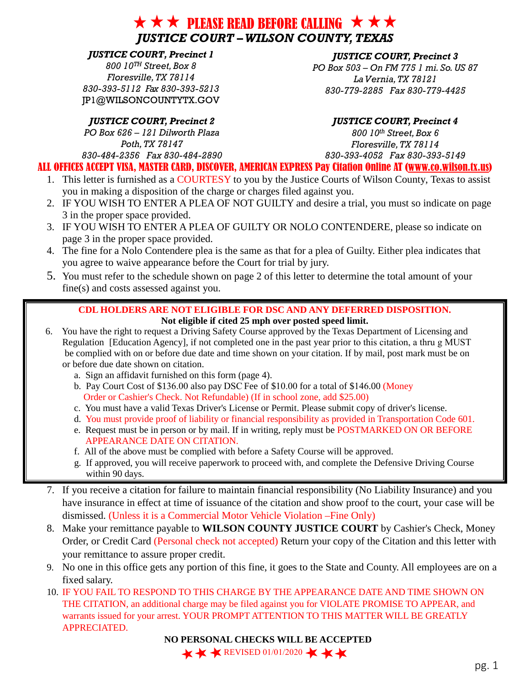## $\star \star \star$  please read before calling  $\star \star \star$ *JUSTICE COURT – WILSON COUNTY, TEXAS*

### *JUSTICE COURT, Precinct 1*

*800 10TH Street, Box 8 Floresville,TX 78114 830-393-5112 Fax 830-393-5213*  [JP1@WILSONCOUNTYTX.GOV](mailto:JP1@WILSONCOUNTYTX.GOV)

#### *JUSTICE COURT, Precinct 3*

*PO Box 503 – On FM 775 1 mi. So. US 87 La Vernia,TX 78121 830-779-2285 Fax 830-779-4425* 

*PO Box 626 – 121 Dilworth Plaza Poth,TX 78147 830-484-2356 Fax 830-484-2890* 

#### *JUSTICE COURT, Precinct 2 JUSTICE COURT, Precinct 4*

*800 10th Street, Box 6 Floresville,TX 78114 830-393-4052 Fax 830-393-5149* 

### ALL OFFICES ACCEPT VISA, MASTER CARD, DISCOVER, AMERICAN EXPRESS Pay Citation Online AT [\(www.co.wilson.tx.us\)](http://www.co.wilson.tx.us/)

- 1. This letter is furnished as a COURTESY to you by the Justice Courts of Wilson County, Texas to assist you in making a disposition of the charge or charges filed against you.
- 2. IF YOU WISH TO ENTER A PLEA OF NOT GUILTY and desire a trial, you must so indicate on page 3 in the proper space provided.
- 3. IF YOU WISH TO ENTER A PLEA OF GUILTY OR NOLO CONTENDERE, please so indicate on page 3 in the proper space provided.
- 4. The fine for a Nolo Contendere plea is the same as that for a plea of Guilty. Either plea indicates that you agree to waive appearance before the Court for trial by jury.
- 5. You must refer to the schedule shown on page 2 of this letter to determine the total amount of your fine(s) and costs assessed against you.

## **CDL HOLDERS ARE NOT ELIGIBLE FOR DSC AND ANY DEFERRED DISPOSITION.**

#### **Not eligible if cited 25 mph over posted speed limit.**

- 6. You have the right to request a Driving Safety Course approved by the Texas Department of Licensing and Regulation [Education Agency], if not completed one in the past year prior to this citation, a thru g MUST be complied with on or before due date and time shown on your citation. If by mail, post mark must be on or before due date shown on citation.
	- a. Sign an affidavit furnished on this form (page 4).
	- b. Pay Court Cost of \$136.00 also pay DSC Fee of \$10.00 for a total of \$146.00 (Money Order or Cashier's Check. Not Refundable) (If in school zone, add \$25.00)
	- c. You must have a valid Texas Driver's License or Permit. Please submit copy of driver's license.
	- d. You must provide proof of liability or financial responsibility as provided in Transportation Code 601.
	- e. Request must be in person or by mail. If in writing, reply must be POSTMARKED ON OR BEFORE APPEARANCE DATE ON CITATION.
	- f. All of the above must be complied with before a Safety Course will be approved.
	- g. If approved, you will receive paperwork to proceed with, and complete the Defensive Driving Course within 90 days.
- 7. If you receive a citation for failure to maintain financial responsibility (No Liability Insurance) and you have insurance in effect at time of issuance of the citation and show proof to the court, your case will be dismissed. (Unless it is a Commercial Motor Vehicle Violation –Fine Only)
- 8. Make your remittance payable to **WILSON COUNTY JUSTICE COURT** by Cashier's Check, Money Order, or Credit Card (Personal check not accepted) Return your copy of the Citation and this letter with your remittance to assure proper credit.
- 9. No one in this office gets any portion of this fine, it goes to the State and County. All employees are on a fixed salary.
- 10. IF YOU FAIL TO RESPOND TO THIS CHARGE BY THE APPEARANCE DATE AND TIME SHOWN ON THE CITATION, an additional charge may be filed against you for VIOLATE PROMISE TO APPEAR, and warrants issued for your arrest. YOUR PROMPT ATTENTION TO THIS MATTER WILL BE GREATLY APPRECIATED.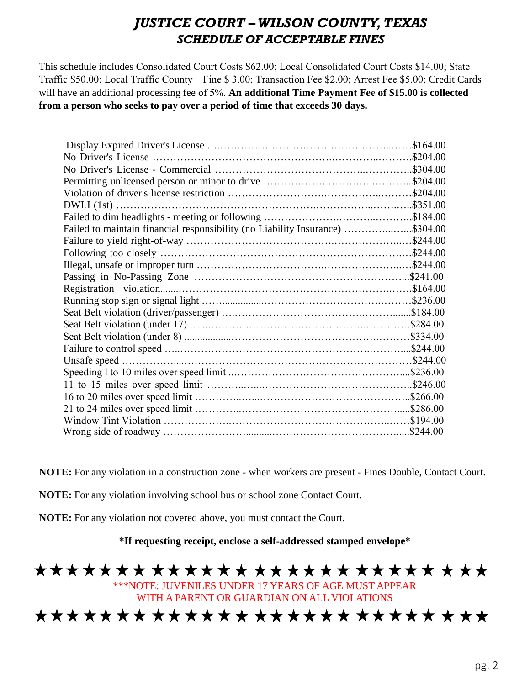## *JUSTICE COURT – WILSON COUNTY, TEXAS SCHEDULE OF ACCEPTABLE FINES*

This schedule includes Consolidated Court Costs \$62.00; Local Consolidated Court Costs \$14.00; State Traffic \$50.00; Local Traffic County – Fine \$ 3.00; Transaction Fee \$2.00; Arrest Fee \$5.00; Credit Cards will have an additional processing fee of 5%. **An additional Time Payment Fee of \$15.00 is collected from a person who seeks to pay over a period of time that exceeds 30 days.** 

|                                                                               | \$164.00 |
|-------------------------------------------------------------------------------|----------|
|                                                                               |          |
|                                                                               |          |
|                                                                               |          |
|                                                                               |          |
|                                                                               |          |
|                                                                               |          |
| Failed to maintain financial responsibility (no Liability Insurance) \$304.00 |          |
|                                                                               |          |
|                                                                               |          |
|                                                                               |          |
|                                                                               |          |
|                                                                               |          |
|                                                                               |          |
|                                                                               |          |
|                                                                               |          |
|                                                                               |          |
|                                                                               |          |
| Unsafe speed                                                                  | \$244.00 |
|                                                                               |          |
|                                                                               |          |
|                                                                               |          |
|                                                                               |          |
|                                                                               |          |
|                                                                               | \$244.00 |

**NOTE:** For any violation in a construction zone - when workers are present - Fines Double, Contact Court.

**NOTE:** For any violation involving school bus or school zone Contact Court.

**NOTE:** For any violation not covered above, you must contact the Court.

**\*If requesting receipt, enclose a self-addressed stamped envelope\***

# \*\*\*\*\*\*\*\*\*\*\*\*\*\*\*\*\*\*\*\*\*\*\*\*\*\*\*

\*\*\*NOTE: JUVENILES UNDER 17 YEARS OF AGE MUST APPEAR WITH A PARENT OR GUARDIAN ON ALL VIOLATIONS

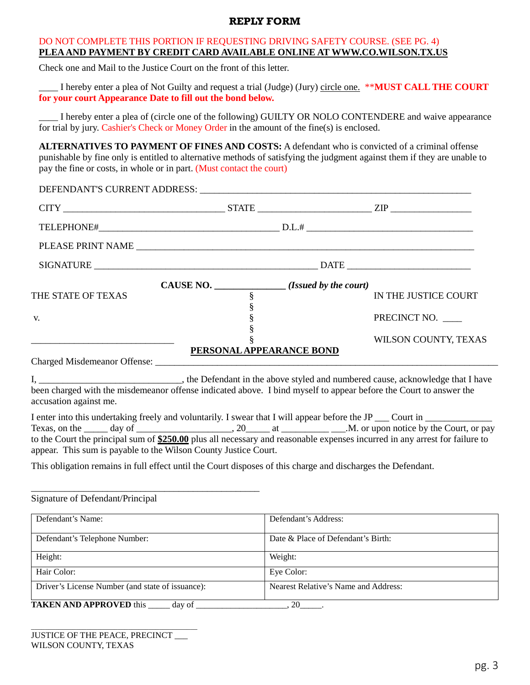#### **REPLY FORM**

#### DO NOT COMPLETE THIS PORTION IF REQUESTING DRIVING SAFETY COURSE. (SEE PG. 4) **PLEA AND PAYMENT BY CREDIT CARD AVAILABLE ONLINE AT WWW.CO.WILSON.TX.US**

Check one and Mail to the Justice Court on the front of this letter.

\_\_\_\_ I hereby enter a plea of Not Guilty and request a trial (Judge) (Jury) circle one. \*\***MUST CALL THE COURT for your court Appearance Date to fill out the bond below.** 

\_\_\_\_ I hereby enter a plea of (circle one of the following) GUILTY OR NOLO CONTENDERE and waive appearance for trial by jury. Cashier's Check or Money Order in the amount of the fine(s) is enclosed.

**ALTERNATIVES TO PAYMENT OF FINES AND COSTS:** A defendant who is convicted of a criminal offense punishable by fine only is entitled to alternative methods of satisfying the judgment against them if they are unable to pay the fine or costs, in whole or in part. (Must contact the court)

| DEFENDANT'S CURRENT ADDRESS: NAMEL AND THE RESERVE OF STATE OF STATE AND THE RESERVE OF STATE OF STATE OF STATE OF STATE OF STATE OF STATE OF STATE OF STATE OF STATE OF STATE OF STATE OF STATE OF STATE OF STATE OF STATE OF                                                                                                                    |                                            |                                      |  |
|---------------------------------------------------------------------------------------------------------------------------------------------------------------------------------------------------------------------------------------------------------------------------------------------------------------------------------------------------|--------------------------------------------|--------------------------------------|--|
|                                                                                                                                                                                                                                                                                                                                                   |                                            |                                      |  |
|                                                                                                                                                                                                                                                                                                                                                   |                                            |                                      |  |
|                                                                                                                                                                                                                                                                                                                                                   |                                            |                                      |  |
|                                                                                                                                                                                                                                                                                                                                                   |                                            |                                      |  |
| CAUSE NO.                                                                                                                                                                                                                                                                                                                                         | $\frac{1}{\sqrt{1}}$ (Issued by the court) |                                      |  |
| THE STATE OF TEXAS                                                                                                                                                                                                                                                                                                                                | §                                          | IN THE JUSTICE COURT                 |  |
| V.                                                                                                                                                                                                                                                                                                                                                | §                                          | PRECINCT NO. ____                    |  |
|                                                                                                                                                                                                                                                                                                                                                   |                                            | WILSON COUNTY, TEXAS                 |  |
|                                                                                                                                                                                                                                                                                                                                                   | PERSONAL APPEARANCE BOND                   |                                      |  |
| accusation against me.<br>I enter into this undertaking freely and voluntarily. I swear that I will appear before the JP ___ Court in _________<br>to the Court the principal sum of \$250.00 plus all necessary and reasonable expenses incurred in any arrest for failure to<br>appear. This sum is payable to the Wilson County Justice Court. |                                            |                                      |  |
| This obligation remains in full effect until the Court disposes of this charge and discharges the Defendant.                                                                                                                                                                                                                                      |                                            |                                      |  |
| Signature of Defendant/Principal                                                                                                                                                                                                                                                                                                                  |                                            |                                      |  |
| Defendant's Name:                                                                                                                                                                                                                                                                                                                                 | Defendant's Address:                       |                                      |  |
| Defendant's Telephone Number:                                                                                                                                                                                                                                                                                                                     |                                            | Date & Place of Defendant's Birth:   |  |
| Height:                                                                                                                                                                                                                                                                                                                                           | Weight:                                    |                                      |  |
| Hair Color:                                                                                                                                                                                                                                                                                                                                       | Eye Color:                                 |                                      |  |
| Driver's License Number (and state of issuance):                                                                                                                                                                                                                                                                                                  |                                            | Nearest Relative's Name and Address: |  |

\_\_\_\_\_\_\_\_\_\_\_\_\_\_\_\_\_\_\_\_\_\_\_\_\_\_\_\_\_\_\_\_\_\_\_\_\_\_\_\_\_\_\_\_\_\_\_\_

**TAKEN AND APPROVED** this \_\_\_\_\_ day of \_\_\_\_\_\_\_\_\_\_\_\_\_\_\_\_\_\_\_, 20\_